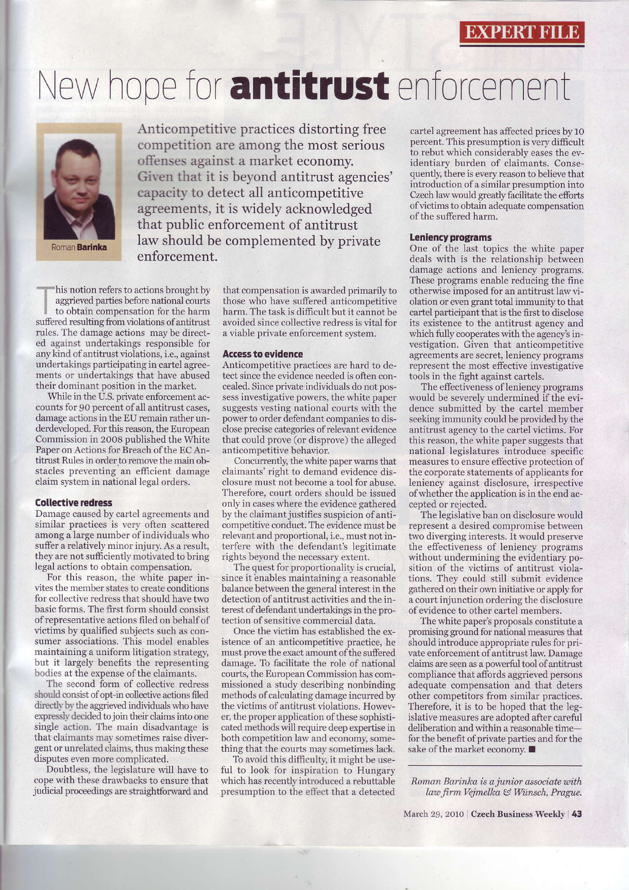## New hope for antitrust enforcement



Roman **Barinka** 

Anticompetitive practices distorting free competition are among the most serious offenses against a market economy. Given that it is beyond antitrust agencies' capacity to detect all anticompetitive agreements, it is widely acknowledged that public enforcement of antitrust law should be complemented by private enforcement.

his notion refers to actions brought by aggrieved parties before national courts to obtain compensation for the harm suffered resulting from violations of antitrust rules. The damage actions may be directed against undertakings responsible for any kind of antitrust violations, i.e., against undertakings participating in cartel agreements or undertakings that have abused their dominant position in the market.

While in the U.S. private enforcement accounts for 90 percent of all antitrust cases. damage actions in the EU remain rather underdeveloped. For this reason, the European Commission in 2008 published the White Paper on Actions for Breach of the EC Antitrust Rules in order to remove the main obstacles preventing an efficient damage claim system in national legal orders.

## **Collective redress**

Damage caused by cartel agreements and similar practices is very often scattered among a large number of individuals who suffer a relatively minor injury. As a result, they are not sufficiently motivated to bring legal actions to obtain compensation.

For this reason, the white paper invites the member states to create conditions for collective redress that should have two basic forms. The first form should consist of representative actions filed on behalf of victims by qualified subjects such as consumer associations. This model enables maintaining a uniform litigation strategy, but it largely benefits the representing bodies at the expense of the claimants.

The second form of collective redress should consist of opt-in collective actions filed directly by the aggrieved individuals who have expressly decided to join their claims into one single action. The main disadvantage is that claimants may sometimes raise divergent or unrelated claims, thus making these disputes even more complicated.

Doubtless, the legislature will have to cope with these drawbacks to ensure that judicial proceedings are straightforward and that compensation is awarded primarily to those who have suffered anticompetitive harm. The task is difficult but it cannot be avoided since collective redress is vital for a viable private enforcement system.

## **Access to evidence**

Anticompetitive practices are hard to detect since the evidence needed is often concealed. Since private individuals do not possess investigative powers, the white paper suggests vesting national courts with the power to order defendant companies to disclose precise categories of relevant evidence that could prove (or disprove) the alleged anticompetitive behavior.

Concurrently, the white paper warns that claimants' right to demand evidence disclosure must not become a tool for abuse. Therefore, court orders should be issued only in cases where the evidence gathered by the claimant justifies suspicion of anticompetitive conduct. The evidence must be relevant and proportional, i.e., must not interfere with the defendant's legitimate rights beyond the necessary extent.

The quest for proportionality is crucial, since it enables maintaining a reasonable balance between the general interest in the detection of antitrust activities and the interest of defendant undertakings in the protection of sensitive commercial data.

Once the victim has established the existence of an anticompetitive practice, he must prove the exact amount of the suffered damage. To facilitate the role of national courts, the European Commission has commissioned a study describing nonbinding methods of calculating damage incurred by the victims of antitrust violations. However, the proper application of these sophisticated methods will require deep expertise in both competition law and economy, something that the courts may sometimes lack.

To avoid this difficulty, it might be useful to look for inspiration to Hungary which has recently introduced a rebuttable presumption to the effect that a detected

cartel agreement has affected prices by 10 percent. This presumption is very difficult to rebut which considerably eases the evidentiary burden of claimants. Consequently, there is every reason to believe that introduction of a similar presumption into Czech law would greatly facilitate the efforts of victims to obtain adequate compensation of the suffered harm.

## **Leniency programs**

One of the last topics the white paper deals with is the relationship between damage actions and leniency programs. These programs enable reducing the fine otherwise imposed for an antitrust law violation or even grant total immunity to that cartel participant that is the first to disclose its existence to the antitrust agency and which fully cooperates with the agency's investigation. Given that anticompetitive agreements are secret, leniency programs represent the most effective investigative tools in the fight against cartels.

The effectiveness of leniency programs<br>would be severely undermined if the evidence submitted by the cartel member seeking immunity could be provided by the antitrust agency to the cartel victims. For this reason, the white paper suggests that national legislatures introduce specific measures to ensure effective protection of the corporate statements of applicants for leniency against disclosure, irrespective of whether the application is in the end accepted or rejected.

The legislative ban on disclosure would represent a desired compromise between two diverging interests. It would preserve the effectiveness of leniency programs without undermining the evidentiary position of the victims of antitrust violations. They could still submit evidence gathered on their own initiative or apply for a court injunction ordering the disclosure of evidence to other cartel members.

The white paper's proposals constitute a promising ground for national measures that should introduce appropriate rules for private enforcement of antitrust law. Damage claims are seen as a powerful tool of antitrust compliance that affords aggrieved persons adequate compensation and that deters other competitors from similar practices. Therefore, it is to be hoped that the legislative measures are adopted after careful deliberation and within a reasonable timefor the benefit of private parties and for the sake of the market economy. ■

Roman Barinka is a junior associate with law firm Vejmelka & Wünsch, Prague.

March 29, 2010 | Czech Business Weekly | 43